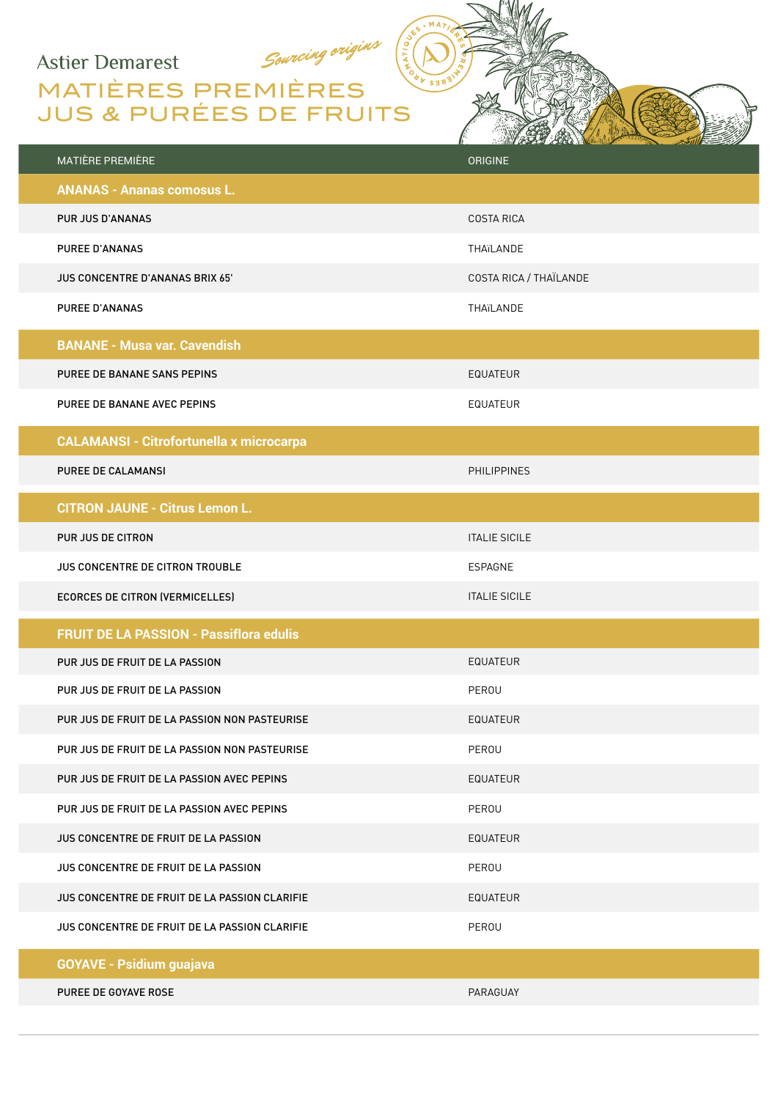## **Astier Demarest**

## MATIÈRES PREMIÈRES JUS & PURÉES DE FRUITS

Sourcing origins

|                                                 | <b>ANTIQUES AND ACCOUNTING TO A REPORT OF THE REAL PROPERTY.</b><br>$\mathcal{L}$ and $\mathcal{L}$ |
|-------------------------------------------------|-----------------------------------------------------------------------------------------------------|
| <b>MATIÈRE PREMIÈRE</b>                         | <b>ORIGINE</b>                                                                                      |
| <b>ANANAS - Ananas comosus L.</b>               |                                                                                                     |
| <b>PUR JUS D'ANANAS</b>                         | <b>COSTA RICA</b>                                                                                   |
| PUREE D'ANANAS                                  | THAïLANDE                                                                                           |
| <b>JUS CONCENTRE D'ANANAS BRIX 65'</b>          | COSTA RICA / THAÏLANDE                                                                              |
| <b>PUREE D'ANANAS</b>                           | THAïLANDE                                                                                           |
| <b>BANANE - Musa var. Cavendish</b>             |                                                                                                     |
| PUREE DE BANANE SANS PEPINS                     | <b>EQUATEUR</b>                                                                                     |
| PUREE DE BANANE AVEC PEPINS                     | EQUATEUR                                                                                            |
| <b>CALAMANSI - Citrofortunella x microcarpa</b> |                                                                                                     |
| PUREE DE CALAMANSI                              | <b>PHILIPPINES</b>                                                                                  |
|                                                 |                                                                                                     |
| <b>CITRON JAUNE - Citrus Lemon L.</b>           |                                                                                                     |
| PUR JUS DE CITRON                               | <b>ITALIE SICILE</b>                                                                                |
| <b>JUS CONCENTRE DE CITRON TROUBLE</b>          | <b>ESPAGNE</b>                                                                                      |
| ECORCES DE CITRON (VERMICELLES)                 | <b>ITALIE SICILE</b>                                                                                |
| <b>FRUIT DE LA PASSION - Passiflora edulis</b>  |                                                                                                     |
| PUR JUS DE FRUIT DE LA PASSION                  | EQUATEUR                                                                                            |
| PUR JUS DE FRUIT DE LA PASSION                  | PEROU                                                                                               |
| PUR JUS DE FRUIT DE LA PASSION NON PASTEURISE   | <b>EQUATEUR</b>                                                                                     |
| PUR JUS DE FRUIT DE LA PASSION NON PASTEURISE   | PEROU                                                                                               |
| PUR JUS DE FRUIT DE LA PASSION AVEC PEPINS      | <b>EQUATEUR</b>                                                                                     |
| PUR JUS DE FRUIT DE LA PASSION AVEC PEPINS      | PEROU                                                                                               |
| JUS CONCENTRE DE FRUIT DE LA PASSION            | <b>EQUATEUR</b>                                                                                     |
| JUS CONCENTRE DE FRUIT DE LA PASSION            | PEROU                                                                                               |
| JUS CONCENTRE DE FRUIT DE LA PASSION CLARIFIE   | <b>EQUATEUR</b>                                                                                     |
| JUS CONCENTRE DE FRUIT DE LA PASSION CLARIFIE   | PEROU                                                                                               |
| <b>GOYAVE - Psidium guajava</b>                 |                                                                                                     |
| PUREE DE GOYAVE ROSE                            | PARAGUAY                                                                                            |

MA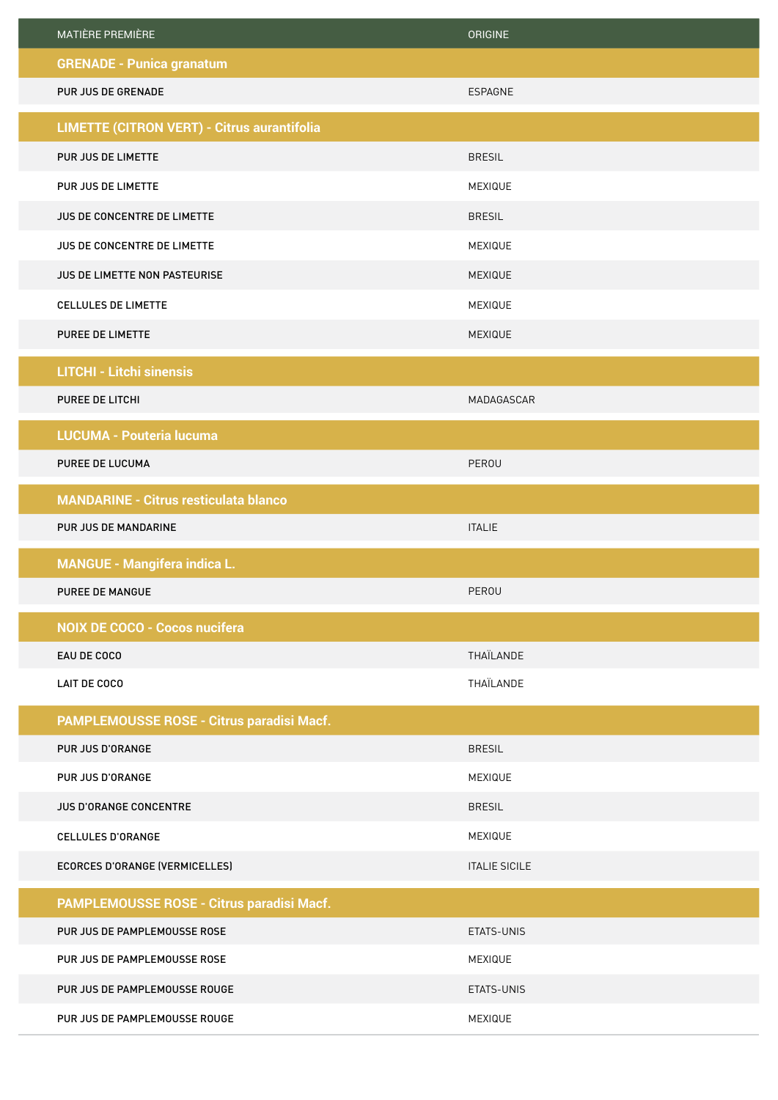| <b>MATIÈRE PREMIÈRE</b>                            | <b>ORIGINE</b>       |
|----------------------------------------------------|----------------------|
| <b>GRENADE - Punica granatum</b>                   |                      |
| PUR JUS DE GRENADE                                 | ESPAGNE              |
| <b>LIMETTE (CITRON VERT) - Citrus aurantifolia</b> |                      |
| PUR JUS DE LIMETTE                                 | <b>BRESIL</b>        |
| PUR JUS DE LIMETTE                                 | MEXIQUE              |
| JUS DE CONCENTRE DE LIMETTE                        | <b>BRESIL</b>        |
| JUS DE CONCENTRE DE LIMETTE                        | MEXIQUE              |
| JUS DE LIMETTE NON PASTEURISE                      | MEXIQUE              |
| <b>CELLULES DE LIMETTE</b>                         | MEXIQUE              |
| <b>PUREE DE LIMETTE</b>                            | MEXIQUE              |
| <b>LITCHI - Litchi sinensis</b>                    |                      |
| PUREE DE LITCHI                                    | MADAGASCAR           |
| <b>LUCUMA - Pouteria lucuma</b>                    |                      |
| PUREE DE LUCUMA                                    | PEROU                |
| <b>MANDARINE - Citrus resticulata blanco</b>       |                      |
| PUR JUS DE MANDARINE                               | <b>ITALIE</b>        |
| <b>MANGUE - Mangifera indica L.</b>                |                      |
| <b>PUREE DE MANGUE</b>                             | PEROU                |
| <b>NOIX DE COCO - Cocos nucifera</b>               |                      |
| EAU DE COCO                                        | THAÏLANDE            |
| <b>LAIT DE COCO</b>                                | THAÏLANDE            |
| PAMPLEMOUSSE ROSE - Citrus paradisi Macf.          |                      |
| PUR JUS D'ORANGE                                   | <b>BRESIL</b>        |
| PUR JUS D'ORANGE                                   | MEXIQUE              |
| JUS D'ORANGE CONCENTRE                             | <b>BRESIL</b>        |
| CELLULES D'ORANGE                                  | MEXIQUE              |
| <b>ECORCES D'ORANGE (VERMICELLES)</b>              | <b>ITALIE SICILE</b> |
| PAMPLEMOUSSE ROSE - Citrus paradisi Macf.          |                      |
| PUR JUS DE PAMPLEMOUSSE ROSE                       | ETATS-UNIS           |
| PUR JUS DE PAMPLEMOUSSE ROSE                       | MEXIQUE              |
| PUR JUS DE PAMPLEMOUSSE ROUGE                      | ETATS-UNIS           |
| PUR JUS DE PAMPLEMOUSSE ROUGE                      | MEXIQUE              |